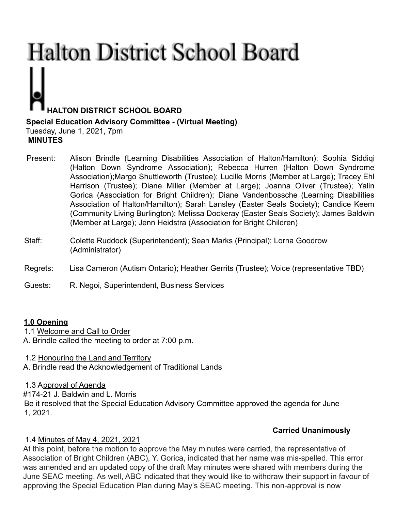# **Halton District School Board HALTON DISTRICT SCHOOL BOARD Special Education Advisory Committee - (Virtual Meeting)**

Tuesday, June 1, 2021, 7pm **MINUTES**

- Present: Alison Brindle (Learning Disabilities Association of Halton/Hamilton); Sophia Siddiqi (Halton Down Syndrome Association); Rebecca Hurren (Halton Down Syndrome Association);Margo Shuttleworth (Trustee); Lucille Morris (Member at Large); Tracey Ehl Harrison (Trustee); Diane Miller (Member at Large); Joanna Oliver (Trustee); Yalin Gorica (Association for Bright Children); Diane Vandenbossche (Learning Disabilities Association of Halton/Hamilton); Sarah Lansley (Easter Seals Society); Candice Keem (Community Living Burlington); Melissa Dockeray (Easter Seals Society); James Baldwin (Member at Large); Jenn Heidstra (Association for Bright Children)
- Staff: Colette Ruddock (Superintendent); Sean Marks (Principal); Lorna Goodrow (Administrator)
- Regrets: Lisa Cameron (Autism Ontario); Heather Gerrits (Trustee); Voice (representative TBD)

Guests: R. Negoi, Superintendent, Business Services

#### **1.0 Opening**

1.1 Welcome and Call to Order

A. Brindle called the meeting to order at 7:00 p.m.

1.2 Honouring the Land and Territory

A. Brindle read the Acknowledgement of Traditional Lands

1.3 Approval of Agenda

#174-21 J. Baldwin and L. Morris

Be it resolved that the Special Education Advisory Committee approved the agenda for June 1, 2021.

# **Carried Unanimously**

# 1.4 Minutes of May 4, 2021, 2021

At this point, before the motion to approve the May minutes were carried, the representative of Association of Bright Children (ABC), Y. Gorica, indicated that her name was mis-spelled. This error was amended and an updated copy of the draft May minutes were shared with members during the June SEAC meeting. As well, ABC indicated that they would like to withdraw their support in favour of approving the Special Education Plan during May's SEAC meeting. This non-approval is now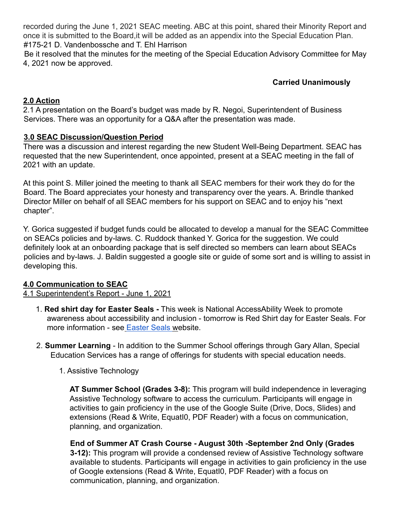recorded during the June 1, 2021 SEAC meeting. ABC at this point, shared their Minority Report and once it is submitted to the Board,it will be added as an appendix into the Special Education Plan. #175-21 D. Vandenbossche and T. Ehl Harrison

Be it resolved that the minutes for the meeting of the Special Education Advisory Committee for May 4, 2021 now be approved.

### **Carried Unanimously**

### **2.0 Action**

2.1 A presentation on the Board's budget was made by R. Negoi, Superintendent of Business Services. There was an opportunity for a Q&A after the presentation was made.

#### **3.0 SEAC Discussion/Question Period**

There was a discussion and interest regarding the new Student Well-Being Department. SEAC has requested that the new Superintendent, once appointed, present at a SEAC meeting in the fall of 2021 with an update.

At this point S. Miller joined the meeting to thank all SEAC members for their work they do for the Board. The Board appreciates your honesty and transparency over the years. A. Brindle thanked Director Miller on behalf of all SEAC members for his support on SEAC and to enjoy his "next chapter".

Y. Gorica suggested if budget funds could be allocated to develop a manual for the SEAC Committee on SEACs policies and by-laws. C. Ruddock thanked Y. Gorica for the suggestion. We could definitely look at an onboarding package that is self directed so members can learn about SEACs policies and by-laws. J. Baldin suggested a google site or guide of some sort and is willing to assist in developing this.

#### **4.0 Communication to SEAC**

#### 4.1 Superintendent's Report - June 1, 2021

- 1. **Red shirt day for Easter Seals -** This week is National AccessAbility Week to promote awareness about accessibility and inclusion - tomorrow is Red Shirt day for Easter Seals. For more information - see Easter Seals website.
- 2. **Summer Learning** In addition to the Summer School offerings through Gary Allan, Special Education Services has a range of offerings for students with special education needs.
	- 1. Assistive Technology

**AT Summer School (Grades 3-8):** This program will build independence in leveraging Assistive Technology software to access the curriculum. Participants will engage in activities to gain proficiency in the use of the Google Suite (Drive, Docs, Slides) and extensions (Read & Write, EquatI0, PDF Reader) with a focus on communication, planning, and organization.

**End of Summer AT Crash Course - August 30th -September 2nd Only (Grades 3-12):** This program will provide a condensed review of Assistive Technology software available to students. Participants will engage in activities to gain proficiency in the use of Google extensions (Read & Write, EquatI0, PDF Reader) with a focus on communication, planning, and organization.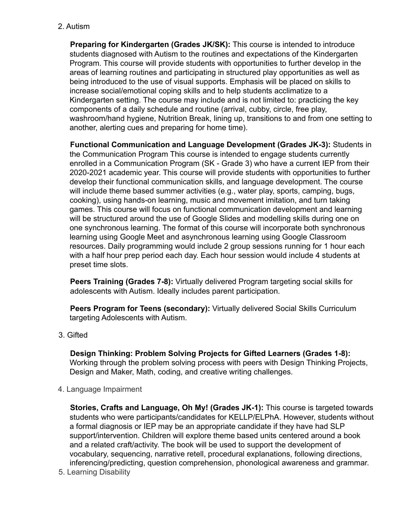2. Autism

**Preparing for Kindergarten (Grades JK/SK):** This course is intended to introduce students diagnosed with Autism to the routines and expectations of the Kindergarten Program. This course will provide students with opportunities to further develop in the areas of learning routines and participating in structured play opportunities as well as being introduced to the use of visual supports. Emphasis will be placed on skills to increase social/emotional coping skills and to help students acclimatize to a Kindergarten setting. The course may include and is not limited to: practicing the key components of a daily schedule and routine (arrival, cubby, circle, free play, washroom/hand hygiene, Nutrition Break, lining up, transitions to and from one setting to another, alerting cues and preparing for home time).

**Functional Communication and Language Development (Grades JK-3):** Students in the Communication Program This course is intended to engage students currently enrolled in a Communication Program (SK - Grade 3) who have a current IEP from their 2020-2021 academic year. This course will provide students with opportunities to further develop their functional communication skills, and language development. The course will include theme based summer activities (e.g., water play, sports, camping, bugs, cooking), using hands-on learning, music and movement imitation, and turn taking games. This course will focus on functional communication development and learning will be structured around the use of Google Slides and modelling skills during one on one synchronous learning. The format of this course will incorporate both synchronous learning using Google Meet and asynchronous learning using Google Classroom resources. Daily programming would include 2 group sessions running for 1 hour each with a half hour prep period each day. Each hour session would include 4 students at preset time slots.

**Peers Training (Grades 7-8):** Virtually delivered Program targeting social skills for adolescents with Autism. Ideally includes parent participation.

**Peers Program for Teens (secondary):** Virtually delivered Social Skills Curriculum targeting Adolescents with Autism.

3. Gifted

**Design Thinking: Problem Solving Projects for Gifted Learners (Grades 1-8):** Working through the problem solving process with peers with Design Thinking Projects, Design and Maker, Math, coding, and creative writing challenges.

4. Language Impairment

**Stories, Crafts and Language, Oh My! (Grades JK-1):** This course is targeted towards students who were participants/candidates for KELLP/ELPhA. However, students without a formal diagnosis or IEP may be an appropriate candidate if they have had SLP support/intervention. Children will explore theme based units centered around a book and a related craft/activity. The book will be used to support the development of vocabulary, sequencing, narrative retell, procedural explanations, following directions, inferencing/predicting, question comprehension, phonological awareness and grammar.

5. Learning Disability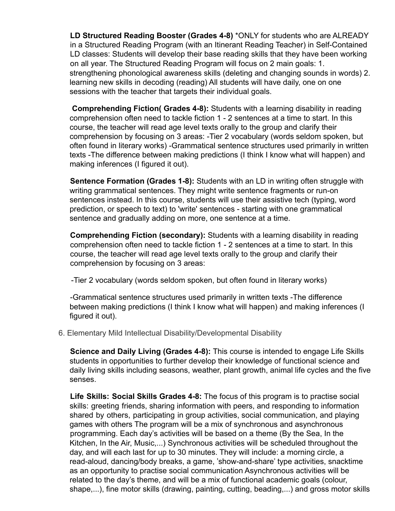**LD Structured Reading Booster (Grades 4-8)** \*ONLY for students who are ALREADY in a Structured Reading Program (with an Itinerant Reading Teacher) in Self-Contained LD classes: Students will develop their base reading skills that they have been working on all year. The Structured Reading Program will focus on 2 main goals: 1. strengthening phonological awareness skills (deleting and changing sounds in words) 2. learning new skills in decoding (reading) All students will have daily, one on one sessions with the teacher that targets their individual goals.

**Comprehending Fiction( Grades 4-8):** Students with a learning disability in reading comprehension often need to tackle fiction 1 - 2 sentences at a time to start. In this course, the teacher will read age level texts orally to the group and clarify their comprehension by focusing on 3 areas: -Tier 2 vocabulary (words seldom spoken, but often found in literary works) -Grammatical sentence structures used primarily in written texts -The difference between making predictions (I think I know what will happen) and making inferences (I figured it out).

**Sentence Formation (Grades 1-8):** Students with an LD in writing often struggle with writing grammatical sentences. They might write sentence fragments or run-on sentences instead. In this course, students will use their assistive tech (typing, word prediction, or speech to text) to 'write' sentences - starting with one grammatical sentence and gradually adding on more, one sentence at a time.

**Comprehending Fiction (secondary):** Students with a learning disability in reading comprehension often need to tackle fiction 1 - 2 sentences at a time to start. In this course, the teacher will read age level texts orally to the group and clarify their comprehension by focusing on 3 areas:

-Tier 2 vocabulary (words seldom spoken, but often found in literary works)

-Grammatical sentence structures used primarily in written texts -The difference between making predictions (I think I know what will happen) and making inferences (I figured it out).

6. Elementary Mild Intellectual Disability/Developmental Disability

**Science and Daily Living (Grades 4-8):** This course is intended to engage Life Skills students in opportunities to further develop their knowledge of functional science and daily living skills including seasons, weather, plant growth, animal life cycles and the five senses.

**Life Skills: Social Skills Grades 4-8:** The focus of this program is to practise social skills: greeting friends, sharing information with peers, and responding to information shared by others, participating in group activities, social communication, and playing games with others The program will be a mix of synchronous and asynchronous programming. Each day's activities will be based on a theme (By the Sea, In the Kitchen, In the Air, Music,...) Synchronous activities will be scheduled throughout the day, and will each last for up to 30 minutes. They will include: a morning circle, a read-aloud, dancing/body breaks, a game, 'show-and-share' type activities, snacktime as an opportunity to practise social communication Asynchronous activities will be related to the day's theme, and will be a mix of functional academic goals (colour, shape,...), fine motor skills (drawing, painting, cutting, beading,...) and gross motor skills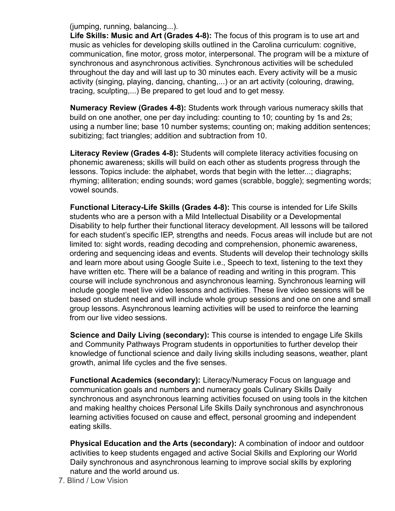(jumping, running, balancing...).

**Life Skills: Music and Art (Grades 4-8):** The focus of this program is to use art and music as vehicles for developing skills outlined in the Carolina curriculum: cognitive, communication, fine motor, gross motor, interpersonal. The program will be a mixture of synchronous and asynchronous activities. Synchronous activities will be scheduled throughout the day and will last up to 30 minutes each. Every activity will be a music activity (singing, playing, dancing, chanting,...) or an art activity (colouring, drawing, tracing, sculpting,...) Be prepared to get loud and to get messy.

**Numeracy Review (Grades 4-8):** Students work through various numeracy skills that build on one another, one per day including: counting to 10; counting by 1s and 2s; using a number line; base 10 number systems; counting on; making addition sentences; subitizing; fact triangles; addition and subtraction from 10.

**Literacy Review (Grades 4-8):** Students will complete literacy activities focusing on phonemic awareness; skills will build on each other as students progress through the lessons. Topics include: the alphabet, words that begin with the letter...; diagraphs; rhyming; alliteration; ending sounds; word games (scrabble, boggle); segmenting words; vowel sounds.

**Functional Literacy-Life Skills (Grades 4-8):** This course is intended for Life Skills students who are a person with a Mild Intellectual Disability or a Developmental Disability to help further their functional literacy development. All lessons will be tailored for each student's specific IEP, strengths and needs. Focus areas will include but are not limited to: sight words, reading decoding and comprehension, phonemic awareness, ordering and sequencing ideas and events. Students will develop their technology skills and learn more about using Google Suite i.e., Speech to text, listening to the text they have written etc. There will be a balance of reading and writing in this program. This course will include synchronous and asynchronous learning. Synchronous learning will include google meet live video lessons and activities. These live video sessions will be based on student need and will include whole group sessions and one on one and small group lessons. Asynchronous learning activities will be used to reinforce the learning from our live video sessions.

**Science and Daily Living (secondary):** This course is intended to engage Life Skills and Community Pathways Program students in opportunities to further develop their knowledge of functional science and daily living skills including seasons, weather, plant growth, animal life cycles and the five senses.

**Functional Academics (secondary):** Literacy/Numeracy Focus on language and communication goals and numbers and numeracy goals Culinary Skills Daily synchronous and asynchronous learning activities focused on using tools in the kitchen and making healthy choices Personal Life Skills Daily synchronous and asynchronous learning activities focused on cause and effect, personal grooming and independent eating skills.

**Physical Education and the Arts (secondary):** A combination of indoor and outdoor activities to keep students engaged and active Social Skills and Exploring our World Daily synchronous and asynchronous learning to improve social skills by exploring nature and the world around us.

7. Blind / Low Vision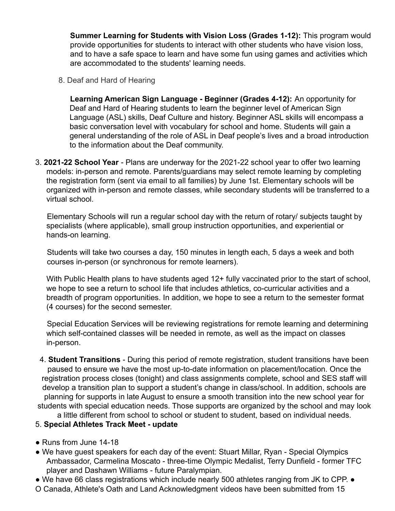**Summer Learning for Students with Vision Loss (Grades 1-12):** This program would provide opportunities for students to interact with other students who have vision loss, and to have a safe space to learn and have some fun using games and activities which are accommodated to the students' learning needs.

8. Deaf and Hard of Hearing

**Learning American Sign Language - Beginner (Grades 4-12):** An opportunity for Deaf and Hard of Hearing students to learn the beginner level of American Sign Language (ASL) skills, Deaf Culture and history. Beginner ASL skills will encompass a basic conversation level with vocabulary for school and home. Students will gain a general understanding of the role of ASL in Deaf people's lives and a broad introduction to the information about the Deaf community.

3. **2021-22 School Year** - Plans are underway for the 2021-22 school year to offer two learning models: in-person and remote. Parents/guardians may select remote learning by completing the registration form (sent via email to all families) by June 1st. Elementary schools will be organized with in-person and remote classes, while secondary students will be transferred to a virtual school.

Elementary Schools will run a regular school day with the return of rotary/ subjects taught by specialists (where applicable), small group instruction opportunities, and experiential or hands-on learning.

Students will take two courses a day, 150 minutes in length each, 5 days a week and both courses in-person (or synchronous for remote learners).

With Public Health plans to have students aged 12+ fully vaccinated prior to the start of school, we hope to see a return to school life that includes athletics, co-curricular activities and a breadth of program opportunities. In addition, we hope to see a return to the semester format (4 courses) for the second semester.

Special Education Services will be reviewing registrations for remote learning and determining which self-contained classes will be needed in remote, as well as the impact on classes in-person.

4. **Student Transitions** - During this period of remote registration, student transitions have been paused to ensure we have the most up-to-date information on placement/location. Once the registration process closes (tonight) and class assignments complete, school and SES staff will develop a transition plan to support a student's change in class/school. In addition, schools are planning for supports in late August to ensure a smooth transition into the new school year for students with special education needs. Those supports are organized by the school and may look

#### a little different from school to school or student to student, based on individual needs. 5. **Special Athletes Track Meet - update**

- Runs from June 14-18
- We have guest speakers for each day of the event: Stuart Millar, Ryan Special Olympics Ambassador, Carmelina Moscato - three-time Olympic Medalist, Terry Dunfield - former TFC player and Dashawn Williams - future Paralympian.
- We have 66 class registrations which include nearly 500 athletes ranging from JK to CPP. ●
- O Canada, Athlete's Oath and Land Acknowledgment videos have been submitted from 15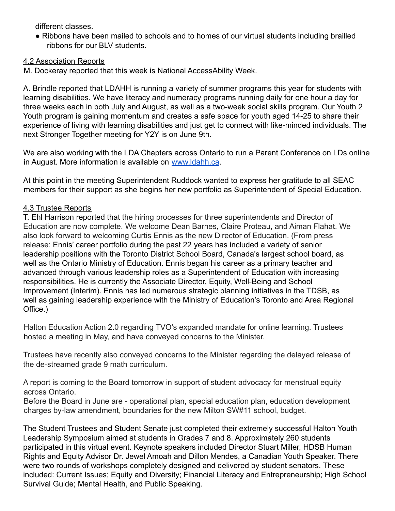different classes.

● Ribbons have been mailed to schools and to homes of our virtual students including brailled ribbons for our BLV students.

#### 4.2 Association Reports

M. Dockeray reported that this week is National AccessAbility Week.

A. Brindle reported that LDAHH is running a variety of summer programs this year for students with learning disabilities. We have literacy and numeracy programs running daily for one hour a day for three weeks each in both July and August, as well as a two-week social skills program. Our Youth 2 Youth program is gaining momentum and creates a safe space for youth aged 14-25 to share their experience of living with learning disabilities and just get to connect with like-minded individuals. The next Stronger Together meeting for Y2Y is on June 9th.

We are also working with the LDA Chapters across Ontario to run a Parent Conference on LDs online in August. More information is available on www.ldahh.ca.

At this point in the meeting Superintendent Ruddock wanted to express her gratitude to all SEAC members for their support as she begins her new portfolio as Superintendent of Special Education.

#### 4.3 Trustee Reports

T. Ehl Harrison reported that the hiring processes for three superintendents and Director of Education are now complete. We welcome Dean Barnes, Claire Proteau, and Aiman Flahat. We also look forward to welcoming Curtis Ennis as the new Director of Education. (From press release: Ennis' career portfolio during the past 22 years has included a variety of senior leadership positions with the Toronto District School Board, Canada's largest school board, as well as the Ontario Ministry of Education. Ennis began his career as a primary teacher and advanced through various leadership roles as a Superintendent of Education with increasing responsibilities. He is currently the Associate Director, Equity, Well-Being and School Improvement (Interim). Ennis has led numerous strategic planning initiatives in the TDSB, as well as gaining leadership experience with the Ministry of Education's Toronto and Area Regional Office.)

Halton Education Action 2.0 regarding TVO's expanded mandate for online learning. Trustees hosted a meeting in May, and have conveyed concerns to the Minister.

Trustees have recently also conveyed concerns to the Minister regarding the delayed release of the de-streamed grade 9 math curriculum.

A report is coming to the Board tomorrow in support of student advocacy for menstrual equity across Ontario.

Before the Board in June are - operational plan, special education plan, education development charges by-law amendment, boundaries for the new Milton SW#11 school, budget.

The Student Trustees and Student Senate just completed their extremely successful Halton Youth Leadership Symposium aimed at students in Grades 7 and 8. Approximately 260 students participated in this virtual event. Keynote speakers included Director Stuart Miller, HDSB Human Rights and Equity Advisor Dr. Jewel Amoah and Dillon Mendes, a Canadian Youth Speaker. There were two rounds of workshops completely designed and delivered by student senators. These included: Current Issues; Equity and Diversity; Financial Literacy and Entrepreneurship; High School Survival Guide; Mental Health, and Public Speaking.